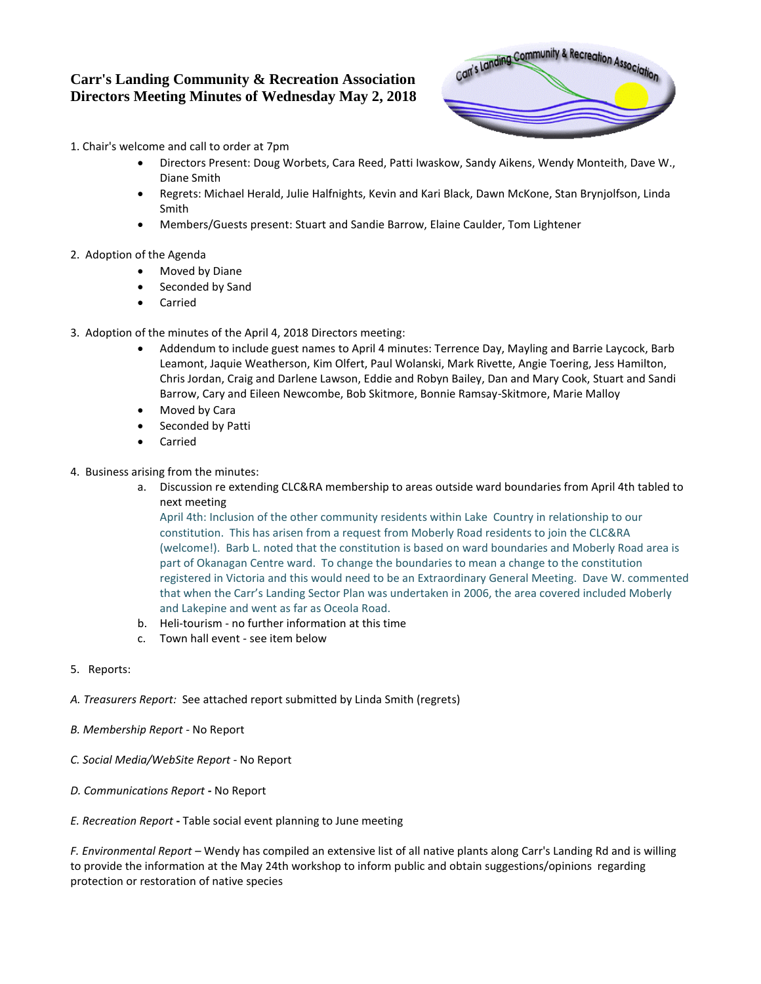## **Carr's Landing Community & Recreation Association Directors Meeting Minutes of Wednesday May 2, 2018**



1. Chair's welcome and call to order at 7pm

- Directors Present: Doug Worbets, Cara Reed, Patti Iwaskow, Sandy Aikens, Wendy Monteith, Dave W., Diane Smith
- Regrets: Michael Herald, Julie Halfnights, Kevin and Kari Black, Dawn McKone, Stan Brynjolfson, Linda Smith
- Members/Guests present: Stuart and Sandie Barrow, Elaine Caulder, Tom Lightener
- 2. Adoption of the Agenda
	- Moved by Diane
	- Seconded by Sand
	- Carried
- 3. Adoption of the minutes of the April 4, 2018 Directors meeting:
	- Addendum to include guest names to April 4 minutes: Terrence Day, Mayling and Barrie Laycock, Barb Leamont, Jaquie Weatherson, Kim Olfert, Paul Wolanski, Mark Rivette, Angie Toering, Jess Hamilton, Chris Jordan, Craig and Darlene Lawson, Eddie and Robyn Bailey, Dan and Mary Cook, Stuart and Sandi Barrow, Cary and Eileen Newcombe, Bob Skitmore, Bonnie Ramsay-Skitmore, Marie Malloy
	- Moved by Cara
	- Seconded by Patti
	- Carried
- 4. Business arising from the minutes:
	- a. Discussion re extending CLC&RA membership to areas outside ward boundaries from April 4th tabled to next meeting

April 4th: Inclusion of the other community residents within Lake Country in relationship to our constitution. This has arisen from a request from Moberly Road residents to join the CLC&RA (welcome!). Barb L. noted that the constitution is based on ward boundaries and Moberly Road area is part of Okanagan Centre ward. To change the boundaries to mean a change to the constitution registered in Victoria and this would need to be an Extraordinary General Meeting. Dave W. commented that when the Carr's Landing Sector Plan was undertaken in 2006, the area covered included Moberly and Lakepine and went as far as Oceola Road.

- b. Heli-tourism no further information at this time
- c. Town hall event see item below
- 5. Reports:
- *A. Treasurers Report:* See attached report submitted by Linda Smith (regrets)
- *B. Membership Report -* No Report
- *C. Social Media/WebSite Report -* No Report
- *D. Communications Report* **-** No Report
- *E. Recreation Report* **-** Table social event planning to June meeting

*F. Environmental Report* – Wendy has compiled an extensive list of all native plants along Carr's Landing Rd and is willing to provide the information at the May 24th workshop to inform public and obtain suggestions/opinions regarding protection or restoration of native species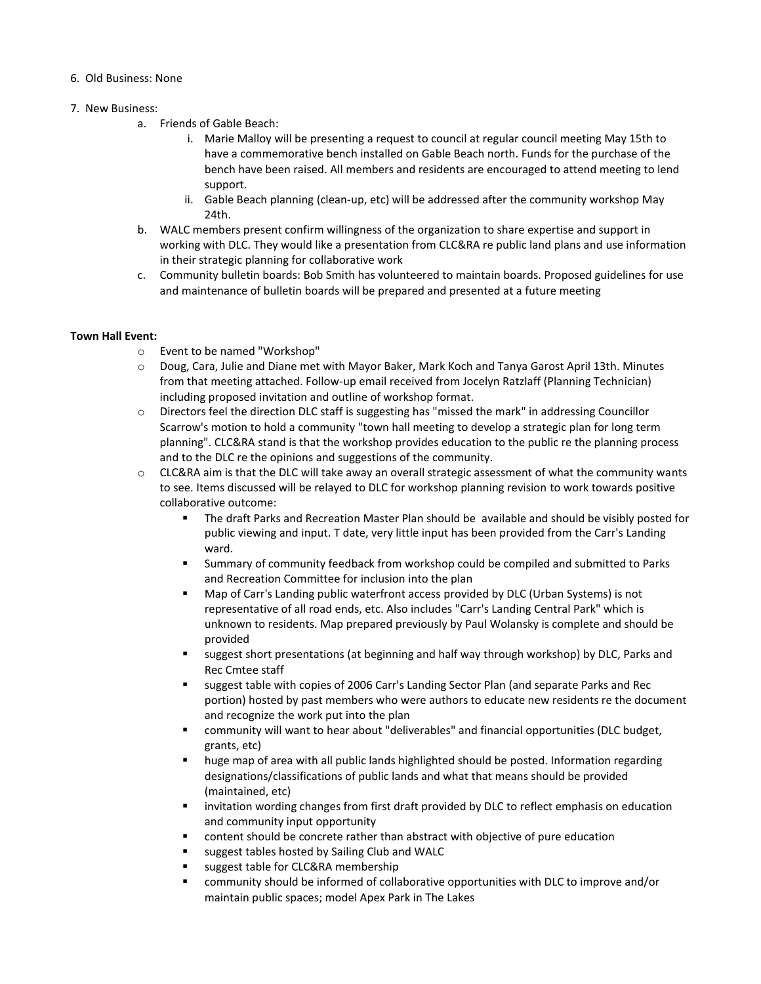## 6. Old Business: None

## 7. New Business:

- a. Friends of Gable Beach:
	- i. Marie Malloy will be presenting a request to council at regular council meeting May 15th to have a commemorative bench installed on Gable Beach north. Funds for the purchase of the bench have been raised. All members and residents are encouraged to attend meeting to lend support.
	- ii. Gable Beach planning (clean-up, etc) will be addressed after the community workshop May 24th.
- b. WALC members present confirm willingness of the organization to share expertise and support in working with DLC. They would like a presentation from CLC&RA re public land plans and use information in their strategic planning for collaborative work
- c. Community bulletin boards: Bob Smith has volunteered to maintain boards. Proposed guidelines for use and maintenance of bulletin boards will be prepared and presented at a future meeting

## **Town Hall Event:**

- o Event to be named "Workshop"
- o Doug, Cara, Julie and Diane met with Mayor Baker, Mark Koch and Tanya Garost April 13th. Minutes from that meeting attached. Follow-up email received from Jocelyn Ratzlaff (Planning Technician) including proposed invitation and outline of workshop format.
- o Directors feel the direction DLC staff is suggesting has "missed the mark" in addressing Councillor Scarrow's motion to hold a community "town hall meeting to develop a strategic plan for long term planning". CLC&RA stand is that the workshop provides education to the public re the planning process and to the DLC re the opinions and suggestions of the community.
- o CLC&RA aim is that the DLC will take away an overall strategic assessment of what the community wants to see. Items discussed will be relayed to DLC for workshop planning revision to work towards positive collaborative outcome:
	- The draft Parks and Recreation Master Plan should be available and should be visibly posted for public viewing and input. T date, very little input has been provided from the Carr's Landing ward.
	- Summary of community feedback from workshop could be compiled and submitted to Parks and Recreation Committee for inclusion into the plan
	- Map of Carr's Landing public waterfront access provided by DLC (Urban Systems) is not representative of all road ends, etc. Also includes "Carr's Landing Central Park" which is unknown to residents. Map prepared previously by Paul Wolansky is complete and should be provided
	- **suggest short presentations (at beginning and half way through workshop) by DLC, Parks and** Rec Cmtee staff
	- suggest table with copies of 2006 Carr's Landing Sector Plan (and separate Parks and Rec portion) hosted by past members who were authors to educate new residents re the document and recognize the work put into the plan
	- community will want to hear about "deliverables" and financial opportunities (DLC budget, grants, etc)
	- huge map of area with all public lands highlighted should be posted. Information regarding designations/classifications of public lands and what that means should be provided (maintained, etc)
	- **IX** invitation wording changes from first draft provided by DLC to reflect emphasis on education and community input opportunity
	- content should be concrete rather than abstract with objective of pure education
	- **s** suggest tables hosted by Sailing Club and WALC
	- suggest table for CLC&RA membership
	- community should be informed of collaborative opportunities with DLC to improve and/or maintain public spaces; model Apex Park in The Lakes